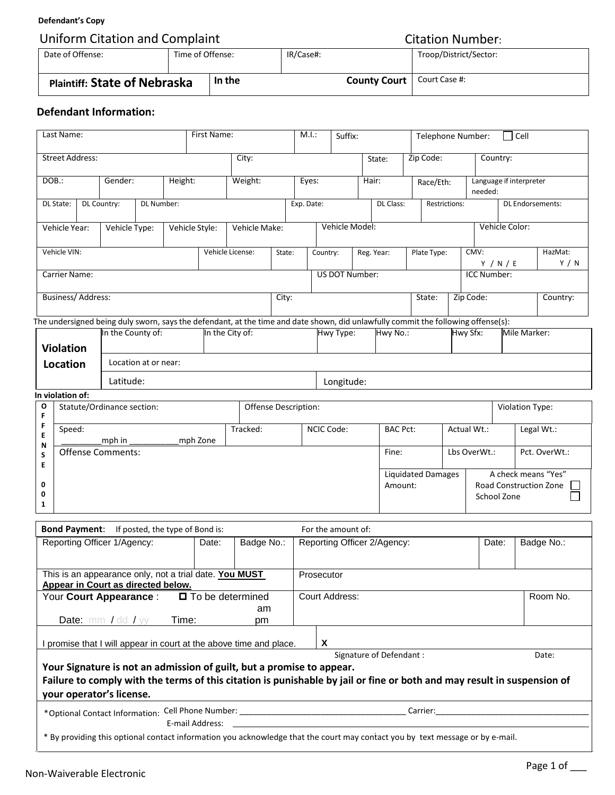## **Defendant's Copy**

| Uniform Citation and Complaint      | <b>Citation Number:</b> |        |           |                                     |                        |  |
|-------------------------------------|-------------------------|--------|-----------|-------------------------------------|------------------------|--|
| Date of Offense:                    | Time of Offense:        |        | IR/Case#: |                                     | Troop/District/Sector: |  |
| <b>Plaintiff: State of Nebraska</b> |                         | In the |           | <b>County Court</b>   Court Case #: |                        |  |

## **Defendant Information:**

| Last Name:                             |                          |  | First Name:                                          | M.I.:<br>Suffix:     |                |            |                                                                                                                                   |                      |       |          | Cell<br>Telephone Number:            |  |                             |                                    |                                                                     |  |               |                    |                 |                  |
|----------------------------------------|--------------------------|--|------------------------------------------------------|----------------------|----------------|------------|-----------------------------------------------------------------------------------------------------------------------------------|----------------------|-------|----------|--------------------------------------|--|-----------------------------|------------------------------------|---------------------------------------------------------------------|--|---------------|--------------------|-----------------|------------------|
|                                        | <b>Street Address:</b>   |  |                                                      |                      |                |            | City:                                                                                                                             |                      |       |          |                                      |  | State:                      |                                    | Zip Code:                                                           |  |               | Country:           |                 |                  |
| Height:<br>DOB.:<br>Gender:            |                          |  |                                                      | Weight:              |                | Eyes:      |                                                                                                                                   |                      | Hair: |          | Race/Eth:                            |  |                             | Language if interpreter<br>needed: |                                                                     |  |               |                    |                 |                  |
| DL State:<br>DL Country:<br>DL Number: |                          |  |                                                      |                      |                | Exp. Date: |                                                                                                                                   |                      |       |          | DL Class:                            |  | Restrictions:               |                                    | <b>DL Endorsements:</b>                                             |  |               |                    |                 |                  |
|                                        | Vehicle Year:            |  | Vehicle Type:                                        |                      | Vehicle Style: |            | Vehicle Make:                                                                                                                     |                      |       |          | Vehicle Model:                       |  |                             |                                    |                                                                     |  |               | Vehicle Color:     |                 |                  |
|                                        | Vehicle VIN:             |  |                                                      |                      |                |            | Vehicle License:                                                                                                                  | State:               |       | Country: |                                      |  | Reg. Year:                  |                                    | Plate Type:                                                         |  | CMV:          | Y / N / E          |                 | HazMat:<br>Y / N |
|                                        | <b>Carrier Name:</b>     |  |                                                      |                      |                |            |                                                                                                                                   | US DOT Number:       |       |          |                                      |  |                             |                                    |                                                                     |  |               | <b>ICC Number:</b> |                 |                  |
|                                        | <b>Business/Address:</b> |  |                                                      |                      |                |            |                                                                                                                                   | City:                |       | State:   |                                      |  |                             |                                    | Zip Code:                                                           |  |               | Country:           |                 |                  |
|                                        |                          |  |                                                      |                      |                |            | The undersigned being duly sworn, says the defendant, at the time and date shown, did unlawfully commit the following offense(s): |                      |       |          |                                      |  |                             |                                    |                                                                     |  |               |                    |                 |                  |
|                                        | <b>Violation</b>         |  | In the County of:                                    |                      |                |            | In the City of:                                                                                                                   |                      |       |          | Hwy Type:                            |  | Hwy No.:                    |                                    |                                                                     |  | Hwy Sfx:      |                    | Mile Marker:    |                  |
|                                        | <b>Location</b>          |  |                                                      | Location at or near: |                |            |                                                                                                                                   |                      |       |          |                                      |  |                             |                                    |                                                                     |  |               |                    |                 |                  |
|                                        |                          |  | Latitude:                                            |                      |                | Longitude: |                                                                                                                                   |                      |       |          |                                      |  |                             |                                    |                                                                     |  |               |                    |                 |                  |
|                                        | In violation of:         |  |                                                      |                      |                |            |                                                                                                                                   |                      |       |          |                                      |  |                             |                                    |                                                                     |  |               |                    |                 |                  |
| $\mathbf{o}$<br>F                      |                          |  | Statute/Ordinance section:                           |                      |                |            |                                                                                                                                   | Offense Description: |       |          |                                      |  |                             |                                    |                                                                     |  |               |                    | Violation Type: |                  |
| E<br>N                                 | F<br>Speed:              |  | mph in                                               | mph Zone             |                |            |                                                                                                                                   | Tracked:             |       |          | NCIC Code:                           |  | <b>BAC Pct:</b>             |                                    |                                                                     |  | Actual Wt.:   |                    | Legal Wt.:      |                  |
| S<br>E                                 | <b>Offense Comments:</b> |  |                                                      |                      |                |            |                                                                                                                                   |                      |       | Fine:    |                                      |  |                             |                                    | Lbs OverWt.:                                                        |  | Pct. OverWt.: |                    |                 |                  |
| 0<br>0<br>$\mathbf{1}$                 |                          |  |                                                      |                      |                |            |                                                                                                                                   |                      |       |          | <b>Liquidated Damages</b><br>Amount: |  |                             |                                    | A check means "Yes"<br><b>Road Construction Zone</b><br>School Zone |  |               |                    |                 |                  |
|                                        |                          |  | <b>Bond Payment:</b> If posted, the type of Bond is: |                      |                |            |                                                                                                                                   |                      |       |          | For the amount of:                   |  |                             |                                    |                                                                     |  |               |                    |                 |                  |
|                                        |                          |  | Reporting Officer 1/Agency:                          |                      |                | Date:      |                                                                                                                                   | Badge No.:           |       |          |                                      |  | Reporting Officer 2/Agency: |                                    |                                                                     |  |               | Date:              |                 | Badge No.:       |

| This is an appearance only, not a trial date. You MUST                           |                 |    |  | Prosecutor                                                                                                                    |          |       |
|----------------------------------------------------------------------------------|-----------------|----|--|-------------------------------------------------------------------------------------------------------------------------------|----------|-------|
| Appear in Court as directed below.                                               |                 |    |  |                                                                                                                               |          |       |
| □ To be determined<br>Your Court Appearance:                                     |                 |    |  | Court Address:                                                                                                                | Room No. |       |
|                                                                                  |                 | am |  |                                                                                                                               |          |       |
| <b>Date:</b> mm / dd / $yy$                                                      | Time:           | pm |  |                                                                                                                               |          |       |
| I promise that I will appear in court at the above time and place.               |                 |    |  | X                                                                                                                             |          |       |
|                                                                                  |                 |    |  | Signature of Defendant:                                                                                                       |          | Date: |
| Your Signature is not an admission of guilt, but a promise to appear.            |                 |    |  | Failure to comply with the terms of this citation is punishable by jail or fine or both and may result in suspension of       |          |       |
| your operator's license.                                                         |                 |    |  |                                                                                                                               |          |       |
| *Optional Contact Information: Cell Phone Number: ______________________________ |                 |    |  | Carrier:                                                                                                                      |          |       |
|                                                                                  | E-mail Address: |    |  |                                                                                                                               |          |       |
|                                                                                  |                 |    |  | * By providing this optional contact information you acknowledge that the court may contact you by text message or by e-mail. |          |       |